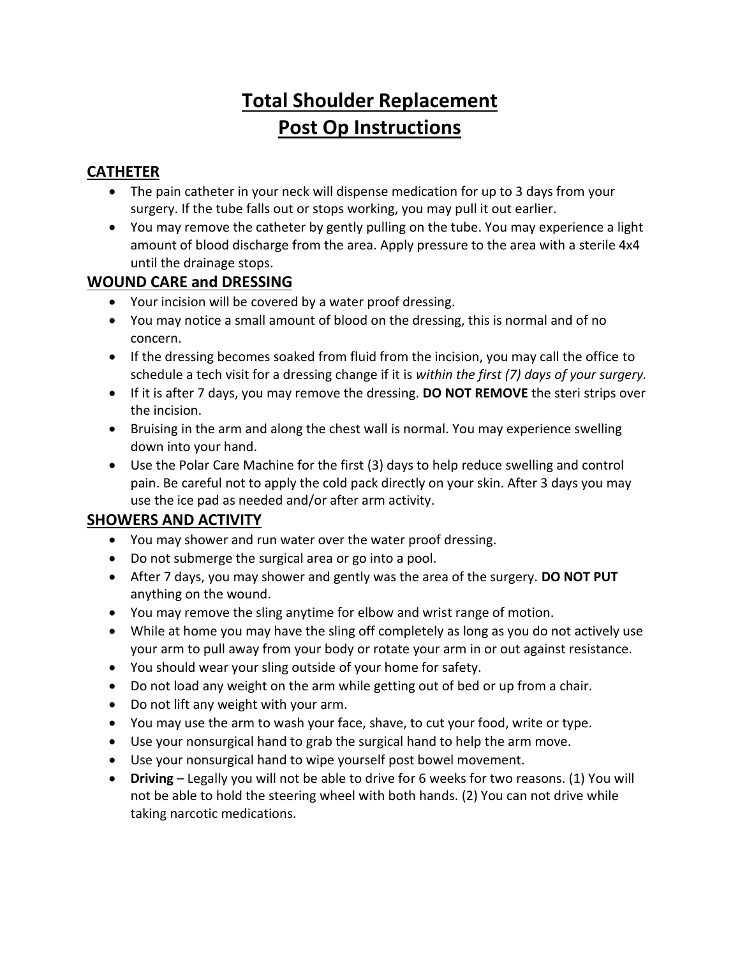# **Total Shoulder Replacement Post Op Instructions**

## **CATHETER**

- The pain catheter in your neck will dispense medication for up to 3 days from your surgery. If the tube falls out or stops working, you may pull it out earlier.
- You may remove the catheter by gently pulling on the tube. You may experience a light amount of blood discharge from the area. Apply pressure to the area with a sterile 4x4 until the drainage stops.

### **WOUND CARE and DRESSING**

- Your incision will be covered by a water proof dressing.
- You may notice a small amount of blood on the dressing, this is normal and of no concern.
- If the dressing becomes soaked from fluid from the incision, you may call the office to schedule a tech visit for a dressing change if it is *within the first (7) days of your surgery.*
- If it is after 7 days, you may remove the dressing. **DO NOT REMOVE** the steri strips over the incision.
- Bruising in the arm and along the chest wall is normal. You may experience swelling down into your hand.
- Use the Polar Care Machine for the first (3) days to help reduce swelling and control pain. Be careful not to apply the cold pack directly on your skin. After 3 days you may use the ice pad as needed and/or after arm activity.

### **SHOWERS AND ACTIVITY**

- You may shower and run water over the water proof dressing.
- Do not submerge the surgical area or go into a pool.
- After 7 days, you may shower and gently was the area of the surgery. **DO NOT PUT** anything on the wound.
- You may remove the sling anytime for elbow and wrist range of motion.
- While at home you may have the sling off completely as long as you do not actively use your arm to pull away from your body or rotate your arm in or out against resistance.
- You should wear your sling outside of your home for safety.
- Do not load any weight on the arm while getting out of bed or up from a chair.
- Do not lift any weight with your arm.
- You may use the arm to wash your face, shave, to cut your food, write or type.
- Use your nonsurgical hand to grab the surgical hand to help the arm move.
- Use your nonsurgical hand to wipe yourself post bowel movement.
- **Driving** Legally you will not be able to drive for 6 weeks for two reasons. (1) You will not be able to hold the steering wheel with both hands. (2) You can not drive while taking narcotic medications.